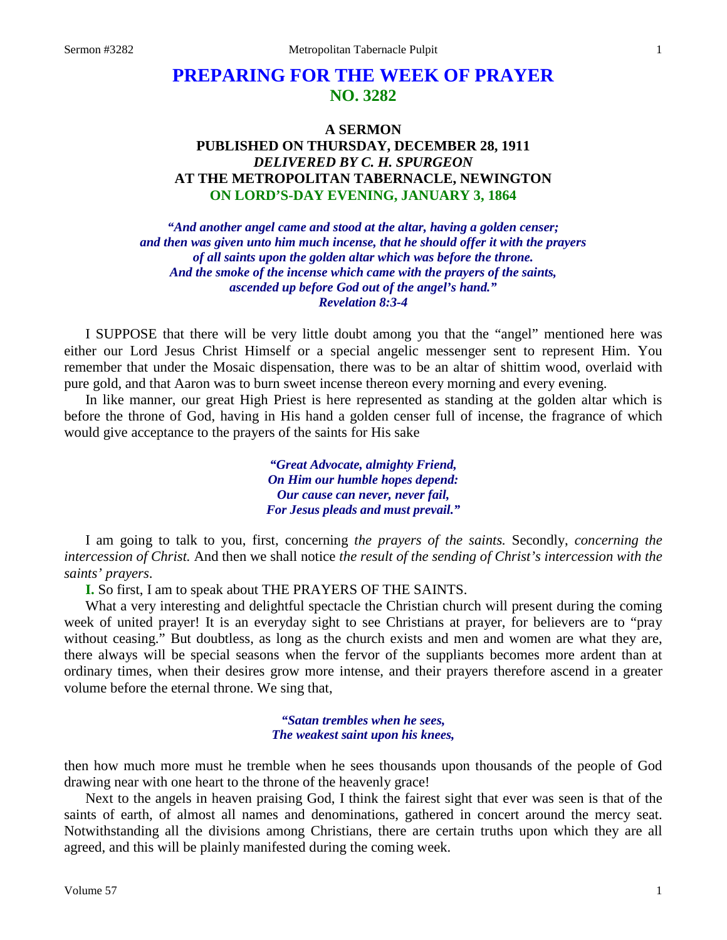# **PREPARING FOR THE WEEK OF PRAYER NO. 3282**

# **A SERMON PUBLISHED ON THURSDAY, DECEMBER 28, 1911** *DELIVERED BY C. H. SPURGEON* **AT THE METROPOLITAN TABERNACLE, NEWINGTON ON LORD'S-DAY EVENING, JANUARY 3, 1864**

*"And another angel came and stood at the altar, having a golden censer; and then was given unto him much incense, that he should offer it with the prayers of all saints upon the golden altar which was before the throne. And the smoke of the incense which came with the prayers of the saints, ascended up before God out of the angel's hand." Revelation 8:3-4*

I SUPPOSE that there will be very little doubt among you that the "angel" mentioned here was either our Lord Jesus Christ Himself or a special angelic messenger sent to represent Him. You remember that under the Mosaic dispensation, there was to be an altar of shittim wood, overlaid with pure gold, and that Aaron was to burn sweet incense thereon every morning and every evening.

In like manner, our great High Priest is here represented as standing at the golden altar which is before the throne of God, having in His hand a golden censer full of incense, the fragrance of which would give acceptance to the prayers of the saints for His sake

> *"Great Advocate, almighty Friend, On Him our humble hopes depend: Our cause can never, never fail, For Jesus pleads and must prevail."*

I am going to talk to you, first, concerning *the prayers of the saints.* Secondly, *concerning the intercession of Christ.* And then we shall notice *the result of the sending of Christ's intercession with the saints' prayers*.

**I.** So first, I am to speak about THE PRAYERS OF THE SAINTS.

What a very interesting and delightful spectacle the Christian church will present during the coming week of united prayer! It is an everyday sight to see Christians at prayer, for believers are to "pray without ceasing." But doubtless, as long as the church exists and men and women are what they are, there always will be special seasons when the fervor of the suppliants becomes more ardent than at ordinary times, when their desires grow more intense, and their prayers therefore ascend in a greater volume before the eternal throne. We sing that,

> *"Satan trembles when he sees, The weakest saint upon his knees,*

then how much more must he tremble when he sees thousands upon thousands of the people of God drawing near with one heart to the throne of the heavenly grace!

Next to the angels in heaven praising God, I think the fairest sight that ever was seen is that of the saints of earth, of almost all names and denominations, gathered in concert around the mercy seat. Notwithstanding all the divisions among Christians, there are certain truths upon which they are all agreed, and this will be plainly manifested during the coming week.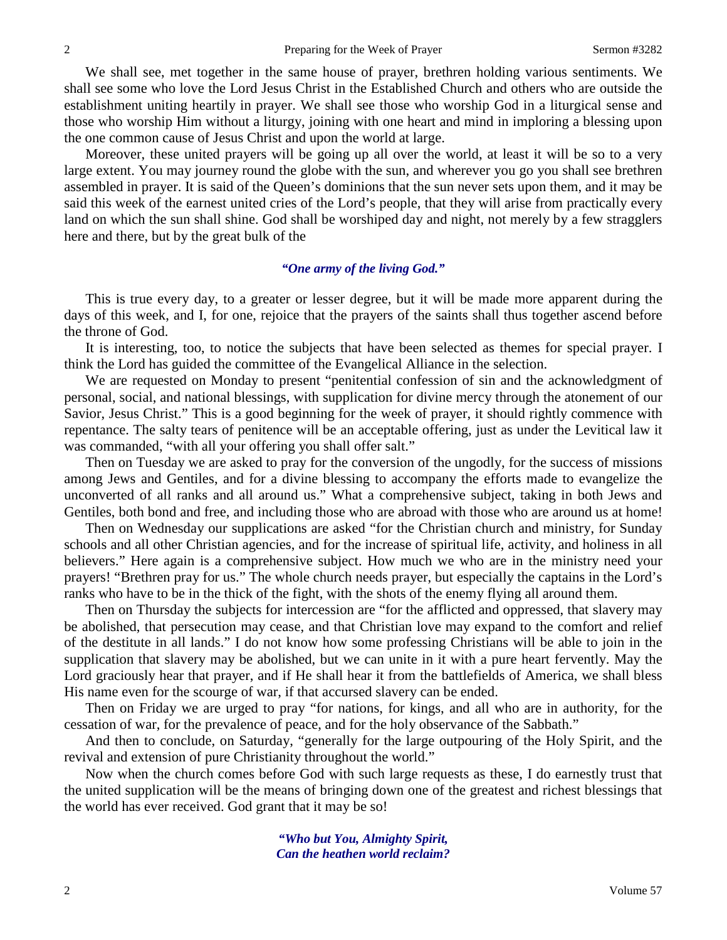We shall see, met together in the same house of prayer, brethren holding various sentiments. We shall see some who love the Lord Jesus Christ in the Established Church and others who are outside the establishment uniting heartily in prayer. We shall see those who worship God in a liturgical sense and those who worship Him without a liturgy, joining with one heart and mind in imploring a blessing upon the one common cause of Jesus Christ and upon the world at large.

Moreover, these united prayers will be going up all over the world, at least it will be so to a very large extent. You may journey round the globe with the sun, and wherever you go you shall see brethren assembled in prayer. It is said of the Queen's dominions that the sun never sets upon them, and it may be said this week of the earnest united cries of the Lord's people, that they will arise from practically every land on which the sun shall shine. God shall be worshiped day and night, not merely by a few stragglers here and there, but by the great bulk of the

### *"One army of the living God."*

This is true every day, to a greater or lesser degree, but it will be made more apparent during the days of this week, and I, for one, rejoice that the prayers of the saints shall thus together ascend before the throne of God.

It is interesting, too, to notice the subjects that have been selected as themes for special prayer. I think the Lord has guided the committee of the Evangelical Alliance in the selection.

We are requested on Monday to present "penitential confession of sin and the acknowledgment of personal, social, and national blessings, with supplication for divine mercy through the atonement of our Savior, Jesus Christ." This is a good beginning for the week of prayer, it should rightly commence with repentance. The salty tears of penitence will be an acceptable offering, just as under the Levitical law it was commanded, "with all your offering you shall offer salt."

Then on Tuesday we are asked to pray for the conversion of the ungodly, for the success of missions among Jews and Gentiles, and for a divine blessing to accompany the efforts made to evangelize the unconverted of all ranks and all around us." What a comprehensive subject, taking in both Jews and Gentiles, both bond and free, and including those who are abroad with those who are around us at home!

Then on Wednesday our supplications are asked "for the Christian church and ministry, for Sunday schools and all other Christian agencies, and for the increase of spiritual life, activity, and holiness in all believers." Here again is a comprehensive subject. How much we who are in the ministry need your prayers! "Brethren pray for us." The whole church needs prayer, but especially the captains in the Lord's ranks who have to be in the thick of the fight, with the shots of the enemy flying all around them.

Then on Thursday the subjects for intercession are "for the afflicted and oppressed, that slavery may be abolished, that persecution may cease, and that Christian love may expand to the comfort and relief of the destitute in all lands." I do not know how some professing Christians will be able to join in the supplication that slavery may be abolished, but we can unite in it with a pure heart fervently. May the Lord graciously hear that prayer, and if He shall hear it from the battlefields of America, we shall bless His name even for the scourge of war, if that accursed slavery can be ended.

Then on Friday we are urged to pray "for nations, for kings, and all who are in authority, for the cessation of war, for the prevalence of peace, and for the holy observance of the Sabbath."

And then to conclude, on Saturday, "generally for the large outpouring of the Holy Spirit, and the revival and extension of pure Christianity throughout the world."

Now when the church comes before God with such large requests as these, I do earnestly trust that the united supplication will be the means of bringing down one of the greatest and richest blessings that the world has ever received. God grant that it may be so!

> *"Who but You, Almighty Spirit, Can the heathen world reclaim?*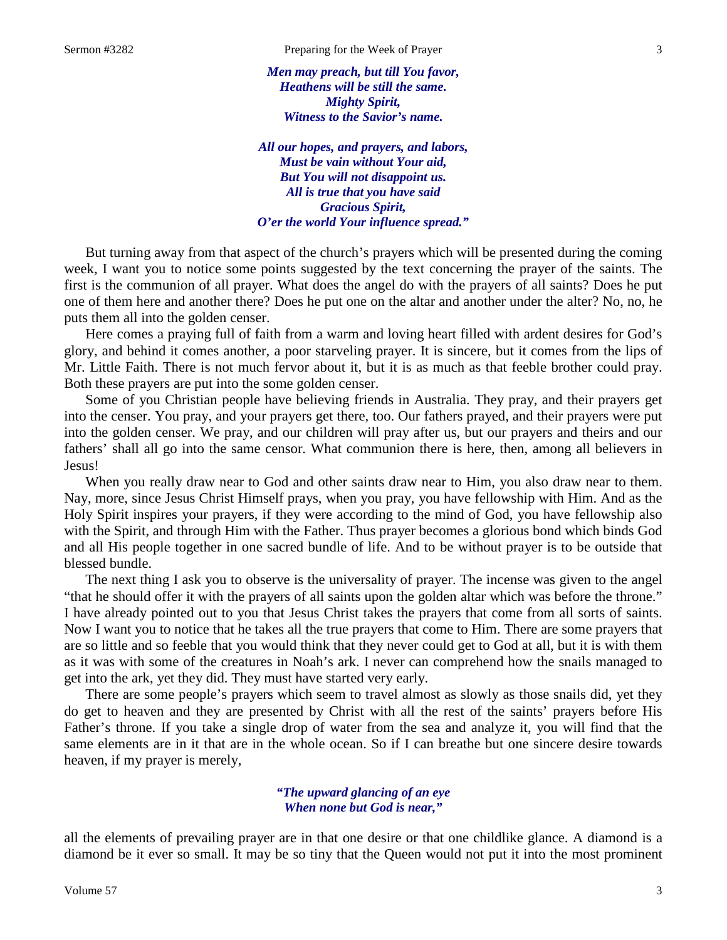*Men may preach, but till You favor, Heathens will be still the same. Mighty Spirit, Witness to the Savior's name.*

*All our hopes, and prayers, and labors, Must be vain without Your aid, But You will not disappoint us. All is true that you have said Gracious Spirit, O'er the world Your influence spread."*

But turning away from that aspect of the church's prayers which will be presented during the coming week, I want you to notice some points suggested by the text concerning the prayer of the saints. The first is the communion of all prayer. What does the angel do with the prayers of all saints? Does he put one of them here and another there? Does he put one on the altar and another under the alter? No, no, he puts them all into the golden censer.

Here comes a praying full of faith from a warm and loving heart filled with ardent desires for God's glory, and behind it comes another, a poor starveling prayer. It is sincere, but it comes from the lips of Mr. Little Faith. There is not much fervor about it, but it is as much as that feeble brother could pray. Both these prayers are put into the some golden censer.

Some of you Christian people have believing friends in Australia. They pray, and their prayers get into the censer. You pray, and your prayers get there, too. Our fathers prayed, and their prayers were put into the golden censer. We pray, and our children will pray after us, but our prayers and theirs and our fathers' shall all go into the same censor. What communion there is here, then, among all believers in Jesus!

When you really draw near to God and other saints draw near to Him, you also draw near to them. Nay, more, since Jesus Christ Himself prays, when you pray, you have fellowship with Him. And as the Holy Spirit inspires your prayers, if they were according to the mind of God, you have fellowship also with the Spirit, and through Him with the Father. Thus prayer becomes a glorious bond which binds God and all His people together in one sacred bundle of life. And to be without prayer is to be outside that blessed bundle.

The next thing I ask you to observe is the universality of prayer. The incense was given to the angel "that he should offer it with the prayers of all saints upon the golden altar which was before the throne." I have already pointed out to you that Jesus Christ takes the prayers that come from all sorts of saints. Now I want you to notice that he takes all the true prayers that come to Him. There are some prayers that are so little and so feeble that you would think that they never could get to God at all, but it is with them as it was with some of the creatures in Noah's ark. I never can comprehend how the snails managed to get into the ark, yet they did. They must have started very early.

There are some people's prayers which seem to travel almost as slowly as those snails did, yet they do get to heaven and they are presented by Christ with all the rest of the saints' prayers before His Father's throne. If you take a single drop of water from the sea and analyze it, you will find that the same elements are in it that are in the whole ocean. So if I can breathe but one sincere desire towards heaven, if my prayer is merely,

#### *"The upward glancing of an eye When none but God is near,"*

all the elements of prevailing prayer are in that one desire or that one childlike glance. A diamond is a diamond be it ever so small. It may be so tiny that the Queen would not put it into the most prominent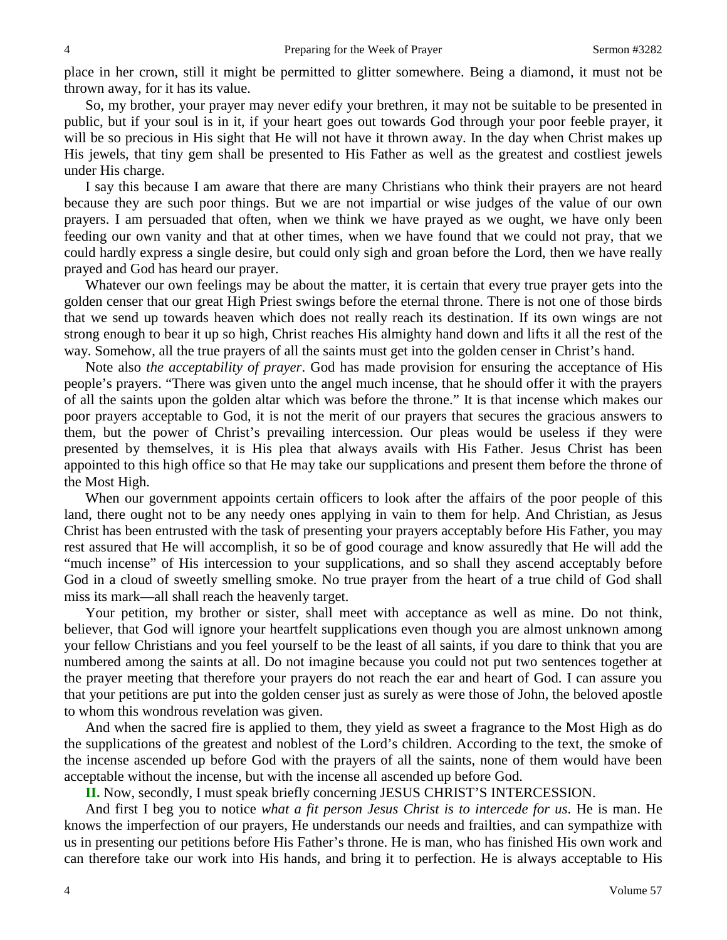place in her crown, still it might be permitted to glitter somewhere. Being a diamond, it must not be thrown away, for it has its value.

So, my brother, your prayer may never edify your brethren, it may not be suitable to be presented in public, but if your soul is in it, if your heart goes out towards God through your poor feeble prayer, it will be so precious in His sight that He will not have it thrown away. In the day when Christ makes up His jewels, that tiny gem shall be presented to His Father as well as the greatest and costliest jewels under His charge.

I say this because I am aware that there are many Christians who think their prayers are not heard because they are such poor things. But we are not impartial or wise judges of the value of our own prayers. I am persuaded that often, when we think we have prayed as we ought, we have only been feeding our own vanity and that at other times, when we have found that we could not pray, that we could hardly express a single desire, but could only sigh and groan before the Lord, then we have really prayed and God has heard our prayer.

Whatever our own feelings may be about the matter, it is certain that every true prayer gets into the golden censer that our great High Priest swings before the eternal throne. There is not one of those birds that we send up towards heaven which does not really reach its destination. If its own wings are not strong enough to bear it up so high, Christ reaches His almighty hand down and lifts it all the rest of the way. Somehow, all the true prayers of all the saints must get into the golden censer in Christ's hand.

Note also *the acceptability of prayer*. God has made provision for ensuring the acceptance of His people's prayers. "There was given unto the angel much incense, that he should offer it with the prayers of all the saints upon the golden altar which was before the throne." It is that incense which makes our poor prayers acceptable to God, it is not the merit of our prayers that secures the gracious answers to them, but the power of Christ's prevailing intercession. Our pleas would be useless if they were presented by themselves, it is His plea that always avails with His Father. Jesus Christ has been appointed to this high office so that He may take our supplications and present them before the throne of the Most High.

When our government appoints certain officers to look after the affairs of the poor people of this land, there ought not to be any needy ones applying in vain to them for help. And Christian, as Jesus Christ has been entrusted with the task of presenting your prayers acceptably before His Father, you may rest assured that He will accomplish, it so be of good courage and know assuredly that He will add the "much incense" of His intercession to your supplications, and so shall they ascend acceptably before God in a cloud of sweetly smelling smoke. No true prayer from the heart of a true child of God shall miss its mark—all shall reach the heavenly target.

Your petition, my brother or sister, shall meet with acceptance as well as mine. Do not think, believer, that God will ignore your heartfelt supplications even though you are almost unknown among your fellow Christians and you feel yourself to be the least of all saints, if you dare to think that you are numbered among the saints at all. Do not imagine because you could not put two sentences together at the prayer meeting that therefore your prayers do not reach the ear and heart of God. I can assure you that your petitions are put into the golden censer just as surely as were those of John, the beloved apostle to whom this wondrous revelation was given.

And when the sacred fire is applied to them, they yield as sweet a fragrance to the Most High as do the supplications of the greatest and noblest of the Lord's children. According to the text, the smoke of the incense ascended up before God with the prayers of all the saints, none of them would have been acceptable without the incense, but with the incense all ascended up before God.

**II.** Now, secondly, I must speak briefly concerning JESUS CHRIST'S INTERCESSION.

And first I beg you to notice *what a fit person Jesus Christ is to intercede for us*. He is man. He knows the imperfection of our prayers, He understands our needs and frailties, and can sympathize with us in presenting our petitions before His Father's throne. He is man, who has finished His own work and can therefore take our work into His hands, and bring it to perfection. He is always acceptable to His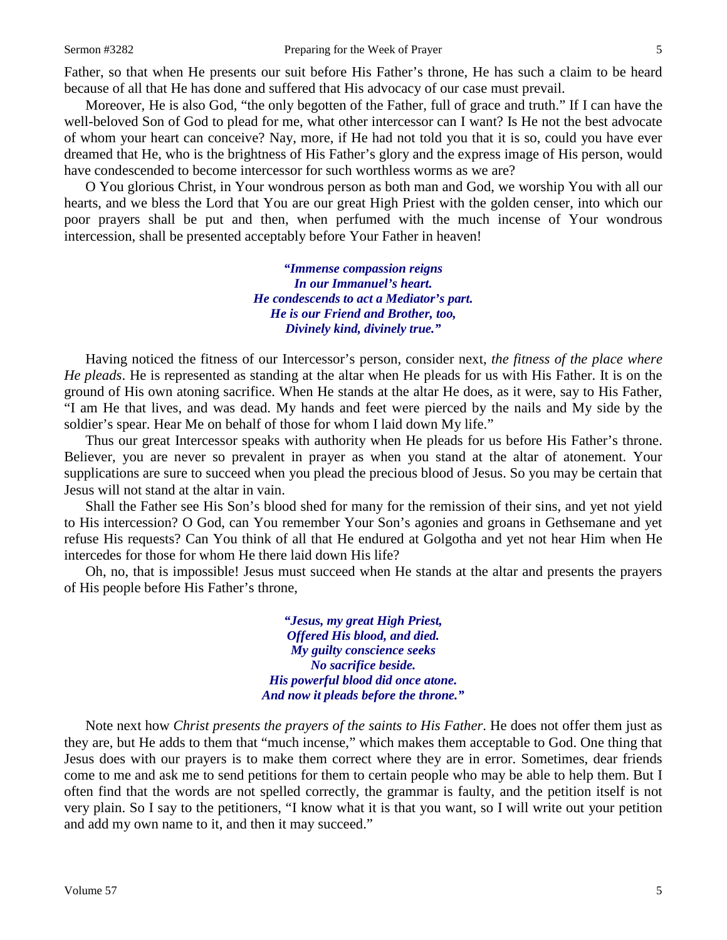Father, so that when He presents our suit before His Father's throne, He has such a claim to be heard because of all that He has done and suffered that His advocacy of our case must prevail.

Moreover, He is also God, "the only begotten of the Father, full of grace and truth." If I can have the well-beloved Son of God to plead for me, what other intercessor can I want? Is He not the best advocate of whom your heart can conceive? Nay, more, if He had not told you that it is so, could you have ever dreamed that He, who is the brightness of His Father's glory and the express image of His person, would have condescended to become intercessor for such worthless worms as we are?

O You glorious Christ, in Your wondrous person as both man and God, we worship You with all our hearts, and we bless the Lord that You are our great High Priest with the golden censer, into which our poor prayers shall be put and then, when perfumed with the much incense of Your wondrous intercession, shall be presented acceptably before Your Father in heaven!

> *"Immense compassion reigns In our Immanuel's heart. He condescends to act a Mediator's part. He is our Friend and Brother, too, Divinely kind, divinely true."*

Having noticed the fitness of our Intercessor's person, consider next, *the fitness of the place where He pleads*. He is represented as standing at the altar when He pleads for us with His Father. It is on the ground of His own atoning sacrifice. When He stands at the altar He does, as it were, say to His Father, "I am He that lives, and was dead. My hands and feet were pierced by the nails and My side by the soldier's spear. Hear Me on behalf of those for whom I laid down My life."

Thus our great Intercessor speaks with authority when He pleads for us before His Father's throne. Believer, you are never so prevalent in prayer as when you stand at the altar of atonement. Your supplications are sure to succeed when you plead the precious blood of Jesus. So you may be certain that Jesus will not stand at the altar in vain.

Shall the Father see His Son's blood shed for many for the remission of their sins, and yet not yield to His intercession? O God, can You remember Your Son's agonies and groans in Gethsemane and yet refuse His requests? Can You think of all that He endured at Golgotha and yet not hear Him when He intercedes for those for whom He there laid down His life?

Oh, no, that is impossible! Jesus must succeed when He stands at the altar and presents the prayers of His people before His Father's throne,

> *"Jesus, my great High Priest, Offered His blood, and died. My guilty conscience seeks No sacrifice beside. His powerful blood did once atone. And now it pleads before the throne."*

Note next how *Christ presents the prayers of the saints to His Father*. He does not offer them just as they are, but He adds to them that "much incense," which makes them acceptable to God. One thing that Jesus does with our prayers is to make them correct where they are in error. Sometimes, dear friends come to me and ask me to send petitions for them to certain people who may be able to help them. But I often find that the words are not spelled correctly, the grammar is faulty, and the petition itself is not very plain. So I say to the petitioners, "I know what it is that you want, so I will write out your petition and add my own name to it, and then it may succeed."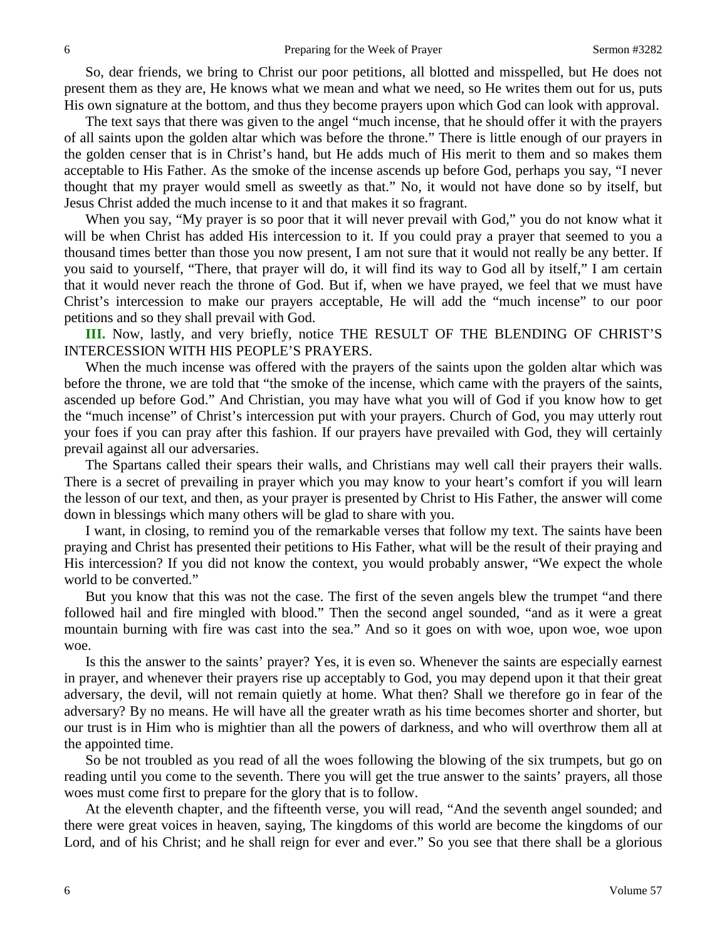So, dear friends, we bring to Christ our poor petitions, all blotted and misspelled, but He does not present them as they are, He knows what we mean and what we need, so He writes them out for us, puts His own signature at the bottom, and thus they become prayers upon which God can look with approval.

The text says that there was given to the angel "much incense, that he should offer it with the prayers of all saints upon the golden altar which was before the throne." There is little enough of our prayers in the golden censer that is in Christ's hand, but He adds much of His merit to them and so makes them acceptable to His Father. As the smoke of the incense ascends up before God, perhaps you say, "I never thought that my prayer would smell as sweetly as that." No, it would not have done so by itself, but Jesus Christ added the much incense to it and that makes it so fragrant.

When you say, "My prayer is so poor that it will never prevail with God," you do not know what it will be when Christ has added His intercession to it. If you could pray a prayer that seemed to you a thousand times better than those you now present, I am not sure that it would not really be any better. If you said to yourself, "There, that prayer will do, it will find its way to God all by itself," I am certain that it would never reach the throne of God. But if, when we have prayed, we feel that we must have Christ's intercession to make our prayers acceptable, He will add the "much incense" to our poor petitions and so they shall prevail with God.

**III.** Now, lastly, and very briefly, notice THE RESULT OF THE BLENDING OF CHRIST'S INTERCESSION WITH HIS PEOPLE'S PRAYERS.

When the much incense was offered with the prayers of the saints upon the golden altar which was before the throne, we are told that "the smoke of the incense, which came with the prayers of the saints, ascended up before God." And Christian, you may have what you will of God if you know how to get the "much incense" of Christ's intercession put with your prayers. Church of God, you may utterly rout your foes if you can pray after this fashion. If our prayers have prevailed with God, they will certainly prevail against all our adversaries.

The Spartans called their spears their walls, and Christians may well call their prayers their walls. There is a secret of prevailing in prayer which you may know to your heart's comfort if you will learn the lesson of our text, and then, as your prayer is presented by Christ to His Father, the answer will come down in blessings which many others will be glad to share with you.

I want, in closing, to remind you of the remarkable verses that follow my text. The saints have been praying and Christ has presented their petitions to His Father, what will be the result of their praying and His intercession? If you did not know the context, you would probably answer, "We expect the whole world to be converted."

But you know that this was not the case. The first of the seven angels blew the trumpet "and there followed hail and fire mingled with blood." Then the second angel sounded, "and as it were a great mountain burning with fire was cast into the sea." And so it goes on with woe, upon woe, woe upon woe.

Is this the answer to the saints' prayer? Yes, it is even so. Whenever the saints are especially earnest in prayer, and whenever their prayers rise up acceptably to God, you may depend upon it that their great adversary, the devil, will not remain quietly at home. What then? Shall we therefore go in fear of the adversary? By no means. He will have all the greater wrath as his time becomes shorter and shorter, but our trust is in Him who is mightier than all the powers of darkness, and who will overthrow them all at the appointed time.

So be not troubled as you read of all the woes following the blowing of the six trumpets, but go on reading until you come to the seventh. There you will get the true answer to the saints' prayers, all those woes must come first to prepare for the glory that is to follow.

At the eleventh chapter, and the fifteenth verse, you will read, "And the seventh angel sounded; and there were great voices in heaven, saying, The kingdoms of this world are become the kingdoms of our Lord, and of his Christ; and he shall reign for ever and ever." So you see that there shall be a glorious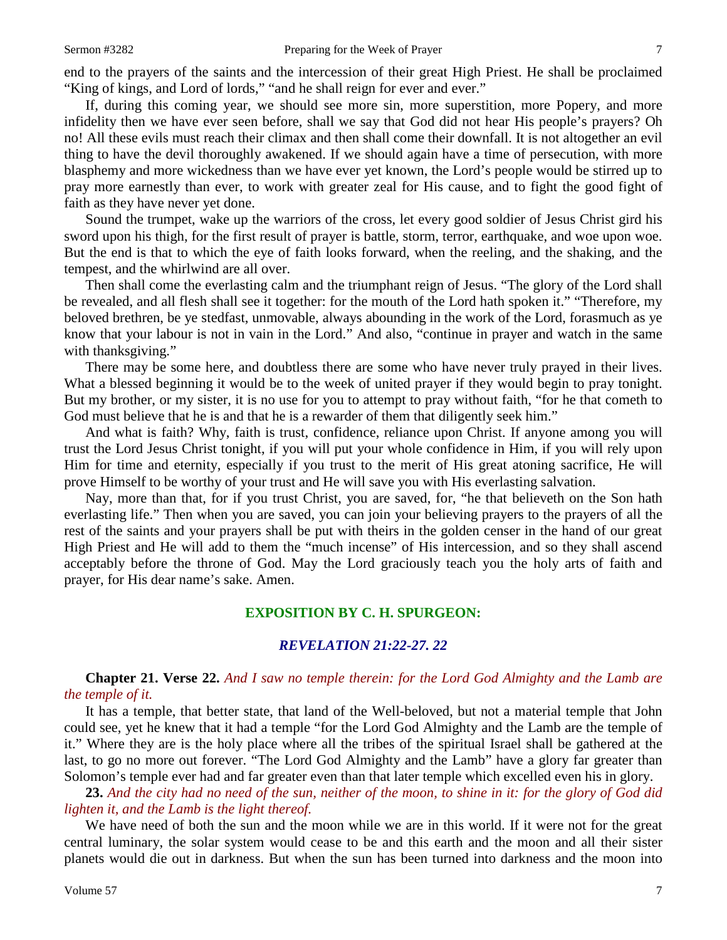end to the prayers of the saints and the intercession of their great High Priest. He shall be proclaimed "King of kings, and Lord of lords," "and he shall reign for ever and ever."

If, during this coming year, we should see more sin, more superstition, more Popery, and more infidelity then we have ever seen before, shall we say that God did not hear His people's prayers? Oh no! All these evils must reach their climax and then shall come their downfall. It is not altogether an evil thing to have the devil thoroughly awakened. If we should again have a time of persecution, with more blasphemy and more wickedness than we have ever yet known, the Lord's people would be stirred up to pray more earnestly than ever, to work with greater zeal for His cause, and to fight the good fight of faith as they have never yet done.

Sound the trumpet, wake up the warriors of the cross, let every good soldier of Jesus Christ gird his sword upon his thigh, for the first result of prayer is battle, storm, terror, earthquake, and woe upon woe. But the end is that to which the eye of faith looks forward, when the reeling, and the shaking, and the tempest, and the whirlwind are all over.

Then shall come the everlasting calm and the triumphant reign of Jesus. "The glory of the Lord shall be revealed, and all flesh shall see it together: for the mouth of the Lord hath spoken it." "Therefore, my beloved brethren, be ye stedfast, unmovable, always abounding in the work of the Lord, forasmuch as ye know that your labour is not in vain in the Lord." And also, "continue in prayer and watch in the same with thanksgiving."

There may be some here, and doubtless there are some who have never truly prayed in their lives. What a blessed beginning it would be to the week of united prayer if they would begin to pray tonight. But my brother, or my sister, it is no use for you to attempt to pray without faith, "for he that cometh to God must believe that he is and that he is a rewarder of them that diligently seek him."

And what is faith? Why, faith is trust, confidence, reliance upon Christ. If anyone among you will trust the Lord Jesus Christ tonight, if you will put your whole confidence in Him, if you will rely upon Him for time and eternity, especially if you trust to the merit of His great atoning sacrifice, He will prove Himself to be worthy of your trust and He will save you with His everlasting salvation.

Nay, more than that, for if you trust Christ, you are saved, for, "he that believeth on the Son hath everlasting life." Then when you are saved, you can join your believing prayers to the prayers of all the rest of the saints and your prayers shall be put with theirs in the golden censer in the hand of our great High Priest and He will add to them the "much incense" of His intercession, and so they shall ascend acceptably before the throne of God. May the Lord graciously teach you the holy arts of faith and prayer, for His dear name's sake. Amen.

#### **EXPOSITION BY C. H. SPURGEON:**

# *REVELATION 21:22-27. 22*

**Chapter 21. Verse 22.** *And I saw no temple therein: for the Lord God Almighty and the Lamb are the temple of it.* 

It has a temple, that better state, that land of the Well-beloved, but not a material temple that John could see, yet he knew that it had a temple "for the Lord God Almighty and the Lamb are the temple of it." Where they are is the holy place where all the tribes of the spiritual Israel shall be gathered at the last, to go no more out forever. "The Lord God Almighty and the Lamb" have a glory far greater than Solomon's temple ever had and far greater even than that later temple which excelled even his in glory.

**23.** *And the city had no need of the sun, neither of the moon, to shine in it: for the glory of God did lighten it, and the Lamb is the light thereof.* 

We have need of both the sun and the moon while we are in this world. If it were not for the great central luminary, the solar system would cease to be and this earth and the moon and all their sister planets would die out in darkness. But when the sun has been turned into darkness and the moon into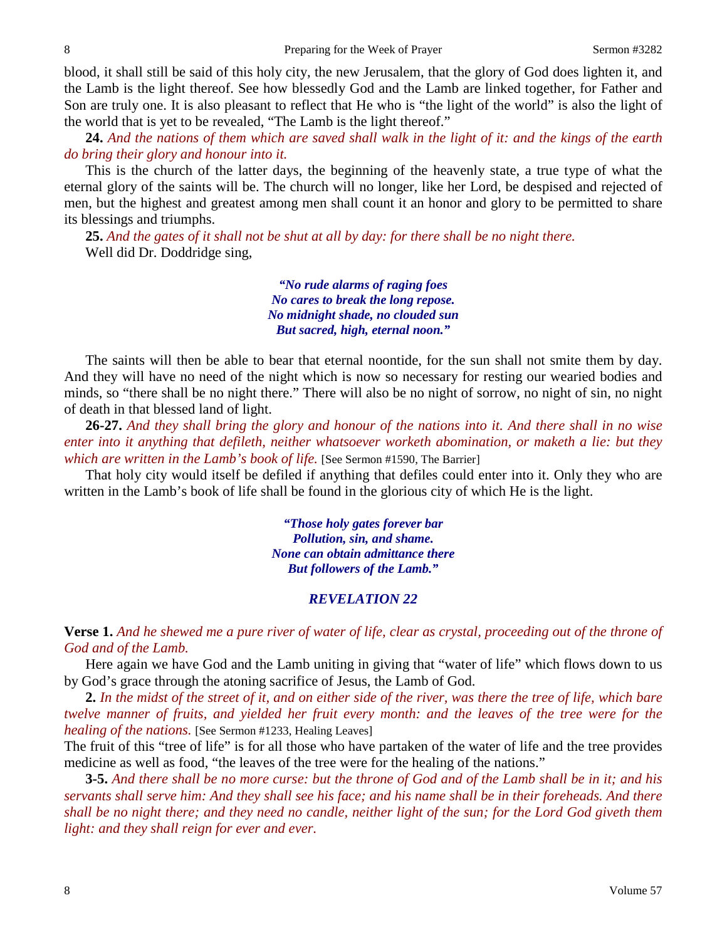blood, it shall still be said of this holy city, the new Jerusalem, that the glory of God does lighten it, and the Lamb is the light thereof. See how blessedly God and the Lamb are linked together, for Father and Son are truly one. It is also pleasant to reflect that He who is "the light of the world" is also the light of the world that is yet to be revealed, "The Lamb is the light thereof."

**24.** *And the nations of them which are saved shall walk in the light of it: and the kings of the earth do bring their glory and honour into it.* 

This is the church of the latter days, the beginning of the heavenly state, a true type of what the eternal glory of the saints will be. The church will no longer, like her Lord, be despised and rejected of men, but the highest and greatest among men shall count it an honor and glory to be permitted to share its blessings and triumphs.

**25.** *And the gates of it shall not be shut at all by day: for there shall be no night there.*  Well did Dr. Doddridge sing,

> *"No rude alarms of raging foes No cares to break the long repose. No midnight shade, no clouded sun But sacred, high, eternal noon."*

The saints will then be able to bear that eternal noontide, for the sun shall not smite them by day. And they will have no need of the night which is now so necessary for resting our wearied bodies and minds, so "there shall be no night there." There will also be no night of sorrow, no night of sin, no night of death in that blessed land of light.

**26-27.** *And they shall bring the glory and honour of the nations into it. And there shall in no wise enter into it anything that defileth, neither whatsoever worketh abomination, or maketh a lie: but they which are written in the Lamb's book of life.* [See Sermon #1590, The Barrier]

That holy city would itself be defiled if anything that defiles could enter into it. Only they who are written in the Lamb's book of life shall be found in the glorious city of which He is the light.

> *"Those holy gates forever bar Pollution, sin, and shame. None can obtain admittance there But followers of the Lamb."*

# *REVELATION 22*

**Verse 1.** *And he shewed me a pure river of water of life, clear as crystal, proceeding out of the throne of God and of the Lamb.* 

Here again we have God and the Lamb uniting in giving that "water of life" which flows down to us by God's grace through the atoning sacrifice of Jesus, the Lamb of God.

**2.** *In the midst of the street of it, and on either side of the river, was there the tree of life, which bare twelve manner of fruits, and yielded her fruit every month: and the leaves of the tree were for the healing of the nations.* [See Sermon #1233, Healing Leaves]

The fruit of this "tree of life" is for all those who have partaken of the water of life and the tree provides medicine as well as food, "the leaves of the tree were for the healing of the nations."

**3-5.** *And there shall be no more curse: but the throne of God and of the Lamb shall be in it; and his servants shall serve him: And they shall see his face; and his name shall be in their foreheads. And there shall be no night there; and they need no candle, neither light of the sun; for the Lord God giveth them light: and they shall reign for ever and ever.*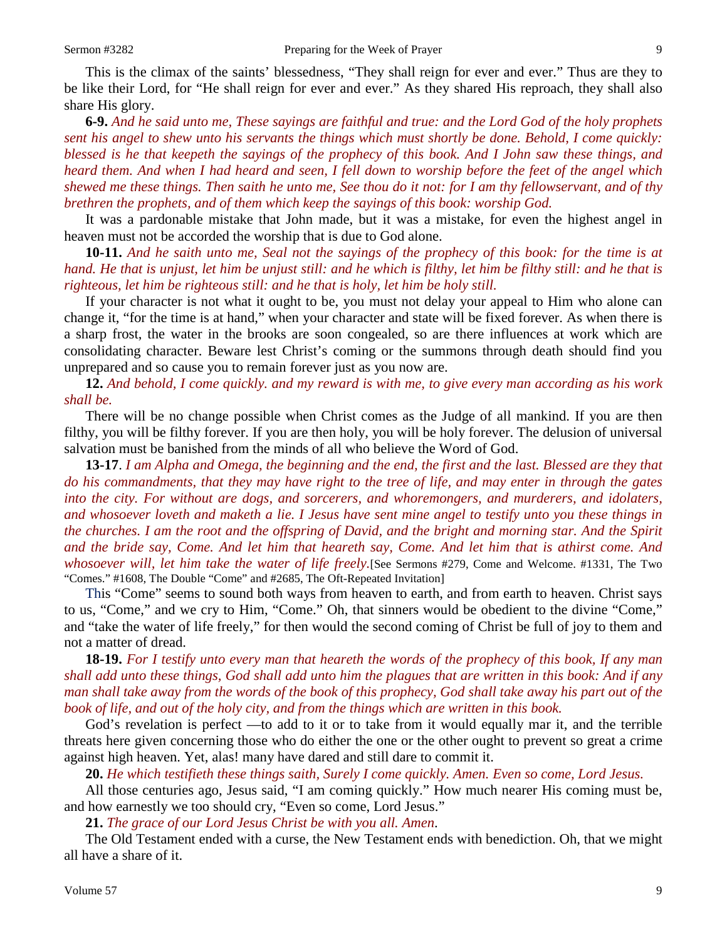This is the climax of the saints' blessedness, "They shall reign for ever and ever." Thus are they to be like their Lord, for "He shall reign for ever and ever." As they shared His reproach, they shall also share His glory.

**6-9.** *And he said unto me, These sayings are faithful and true: and the Lord God of the holy prophets sent his angel to shew unto his servants the things which must shortly be done. Behold, I come quickly: blessed is he that keepeth the sayings of the prophecy of this book. And I John saw these things, and heard them. And when I had heard and seen, I fell down to worship before the feet of the angel which shewed me these things. Then saith he unto me, See thou do it not: for I am thy fellowservant, and of thy brethren the prophets, and of them which keep the sayings of this book: worship God.*

It was a pardonable mistake that John made, but it was a mistake, for even the highest angel in heaven must not be accorded the worship that is due to God alone.

**10-11.** *And he saith unto me, Seal not the sayings of the prophecy of this book: for the time is at hand. He that is unjust, let him be unjust still: and he which is filthy, let him be filthy still: and he that is righteous, let him be righteous still: and he that is holy, let him be holy still.*

If your character is not what it ought to be, you must not delay your appeal to Him who alone can change it, "for the time is at hand," when your character and state will be fixed forever. As when there is a sharp frost, the water in the brooks are soon congealed, so are there influences at work which are consolidating character. Beware lest Christ's coming or the summons through death should find you unprepared and so cause you to remain forever just as you now are.

**12.** *And behold, I come quickly. and my reward is with me, to give every man according as his work shall be.* 

There will be no change possible when Christ comes as the Judge of all mankind. If you are then filthy, you will be filthy forever. If you are then holy, you will be holy forever. The delusion of universal salvation must be banished from the minds of all who believe the Word of God.

**13-17**. *I am Alpha and Omega, the beginning and the end, the first and the last. Blessed are they that do his commandments, that they may have right to the tree of life, and may enter in through the gates into the city. For without are dogs, and sorcerers, and whoremongers, and murderers, and idolaters, and whosoever loveth and maketh a lie. I Jesus have sent mine angel to testify unto you these things in the churches. I am the root and the offspring of David, and the bright and morning star. And the Spirit and the bride say, Come. And let him that heareth say, Come. And let him that is athirst come. And whosoever will, let him take the water of life freely.*[See Sermons #279, Come and Welcome. #1331, The Two "Comes." #1608, The Double "Come" and #2685, The Oft-Repeated Invitation]

This "Come" seems to sound both ways from heaven to earth, and from earth to heaven. Christ says to us, "Come," and we cry to Him, "Come." Oh, that sinners would be obedient to the divine "Come," and "take the water of life freely," for then would the second coming of Christ be full of joy to them and not a matter of dread.

**18-19.** *For I testify unto every man that heareth the words of the prophecy of this book, If any man shall add unto these things, God shall add unto him the plagues that are written in this book: And if any man shall take away from the words of the book of this prophecy, God shall take away his part out of the book of life, and out of the holy city, and from the things which are written in this book.*

God's revelation is perfect —to add to it or to take from it would equally mar it, and the terrible threats here given concerning those who do either the one or the other ought to prevent so great a crime against high heaven. Yet, alas! many have dared and still dare to commit it.

**20.** *He which testifieth these things saith, Surely I come quickly. Amen. Even so come, Lord Jesus.* 

All those centuries ago, Jesus said, "I am coming quickly." How much nearer His coming must be, and how earnestly we too should cry, "Even so come, Lord Jesus."

**21.** *The grace of our Lord Jesus Christ be with you all. Amen*.

The Old Testament ended with a curse, the New Testament ends with benediction. Oh, that we might all have a share of it.